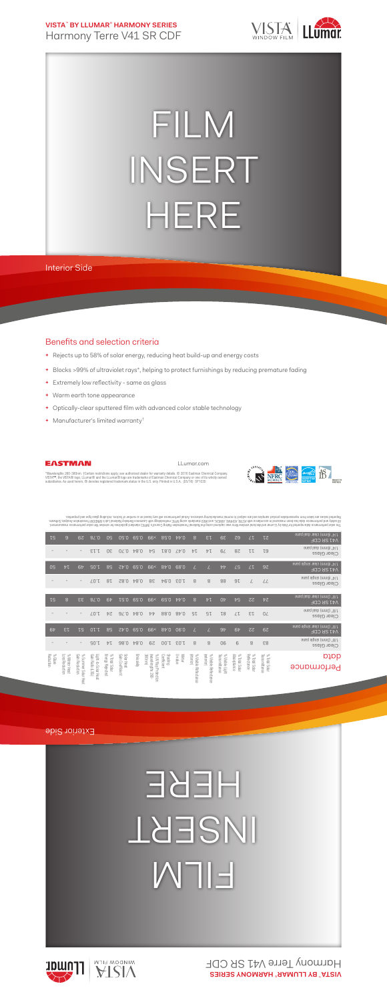**VISTA**™  **BY LLUMAR**®  **HARMONY SERIES** Harmony Terre V41 SR CDF



## FILM INSERT HERE

Interior Side

## Benefits and selection criteria

- **+** Rejects up to 58% of solar energy, reducing heat build-up and energy costs
- **+** Blocks >99% of ultraviolet rays\*, helping to protect furnishings by reducing premature fading
- **+** Extremely low reflectivity same as glass
- **+** Warm earth tone appearance
- **+** Optically-clear sputtered film with advanced color stable technology
- **+** Manufacturer's limited warranty†



LLumar.com



**IS** 

"Wavelengths 280-380nm. †Certain restrictions apply; see authorized dealer for warranty details. © 2016 Eastman Chemical Company.<br>VISTA™, the VISTA® logo, LLumar® and the LLumar® logo are trademarks of Eastman Chemical Com